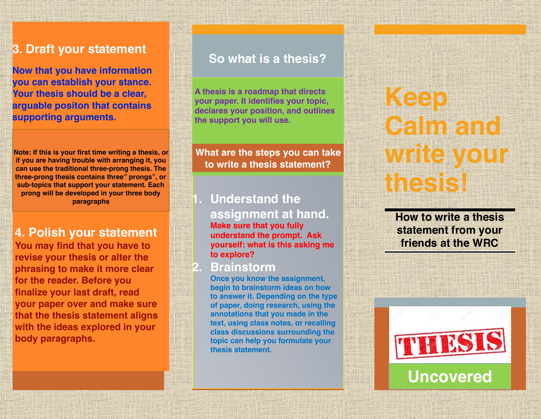# **3. Draft your statement**

**Now that you have information you can establish your stance. Your thesis should be a clear, arguable positon that contains supporting arguments.** 

**Note: If this is your first time writing a thesis, or if you are having trouble with arranging it, you can use the traditional three-prong thesis. The three-prong thesis contains three" prongs", or sub-topics that support your statement. Each prong will be developed in your three body paragraphs** 

# **4. Polish your statement**

**You may find that you have to revise your thesis or alter the phrasing to make it more clear for the reader. Before you finalize your last draft, read your paper over and make sure that the thesis statement aligns with the ideas explored in your body paragraphs.** 

### **So what is a thesis?**

**A thesis is a roadmap that directs your paper. It identifies your topic, declares your position, and outlines the support you will use.** 

**What are the steps you can take to write a thesis statement?** 

### **1. Understand the assignment at hand.**

**Make sure that you fully understand the prompt. Ask yourself: what is this asking me to explore?** 

#### **2. Brainstorm**

**Once you know the assignment, begin to brainstorm ideas on how to answer it. Depending on the type of paper, doing research, using the annotations that you made in the text, using class notes, or recalling class discussions surrounding the topic can help you formulate your thesis statement.** 

# **Keep Calm and write your thesis!**

**How to write a thesis statement from your friends at the WRC**